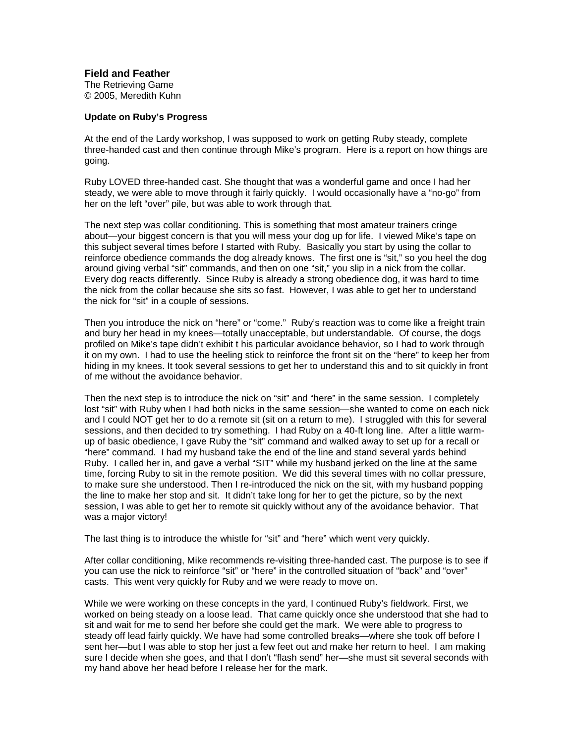## **Field and Feather**

The Retrieving Game © 2005, Meredith Kuhn

## **Update on Ruby's Progress**

At the end of the Lardy workshop, I was supposed to work on getting Ruby steady, complete three-handed cast and then continue through Mike's program. Here is a report on how things are going.

Ruby LOVED three-handed cast. She thought that was a wonderful game and once I had her steady, we were able to move through it fairly quickly. I would occasionally have a "no-go" from her on the left "over" pile, but was able to work through that.

The next step was collar conditioning. This is something that most amateur trainers cringe about—your biggest concern is that you will mess your dog up for life. I viewed Mike's tape on this subject several times before I started with Ruby. Basically you start by using the collar to reinforce obedience commands the dog already knows. The first one is "sit," so you heel the dog around giving verbal "sit" commands, and then on one "sit," you slip in a nick from the collar. Every dog reacts differently. Since Ruby is already a strong obedience dog, it was hard to time the nick from the collar because she sits so fast. However, I was able to get her to understand the nick for "sit" in a couple of sessions.

Then you introduce the nick on "here" or "come." Ruby's reaction was to come like a freight train and bury her head in my knees—totally unacceptable, but understandable. Of course, the dogs profiled on Mike's tape didn't exhibit t his particular avoidance behavior, so I had to work through it on my own. I had to use the heeling stick to reinforce the front sit on the "here" to keep her from hiding in my knees. It took several sessions to get her to understand this and to sit quickly in front of me without the avoidance behavior.

Then the next step is to introduce the nick on "sit" and "here" in the same session. I completely lost "sit" with Ruby when I had both nicks in the same session—she wanted to come on each nick and I could NOT get her to do a remote sit (sit on a return to me). I struggled with this for several sessions, and then decided to try something. I had Ruby on a 40-ft long line. After a little warmup of basic obedience, I gave Ruby the "sit" command and walked away to set up for a recall or "here" command. I had my husband take the end of the line and stand several yards behind Ruby. I called her in, and gave a verbal "SIT" while my husband jerked on the line at the same time, forcing Ruby to sit in the remote position. We did this several times with no collar pressure, to make sure she understood. Then I re-introduced the nick on the sit, with my husband popping the line to make her stop and sit. It didn't take long for her to get the picture, so by the next session, I was able to get her to remote sit quickly without any of the avoidance behavior. That was a major victory!

The last thing is to introduce the whistle for "sit" and "here" which went very quickly.

After collar conditioning, Mike recommends re-visiting three-handed cast. The purpose is to see if you can use the nick to reinforce "sit" or "here" in the controlled situation of "back" and "over" casts. This went very quickly for Ruby and we were ready to move on.

While we were working on these concepts in the yard, I continued Ruby's fieldwork. First, we worked on being steady on a loose lead. That came quickly once she understood that she had to sit and wait for me to send her before she could get the mark. We were able to progress to steady off lead fairly quickly. We have had some controlled breaks—where she took off before I sent her—but I was able to stop her just a few feet out and make her return to heel. I am making sure I decide when she goes, and that I don't "flash send" her—she must sit several seconds with my hand above her head before I release her for the mark.